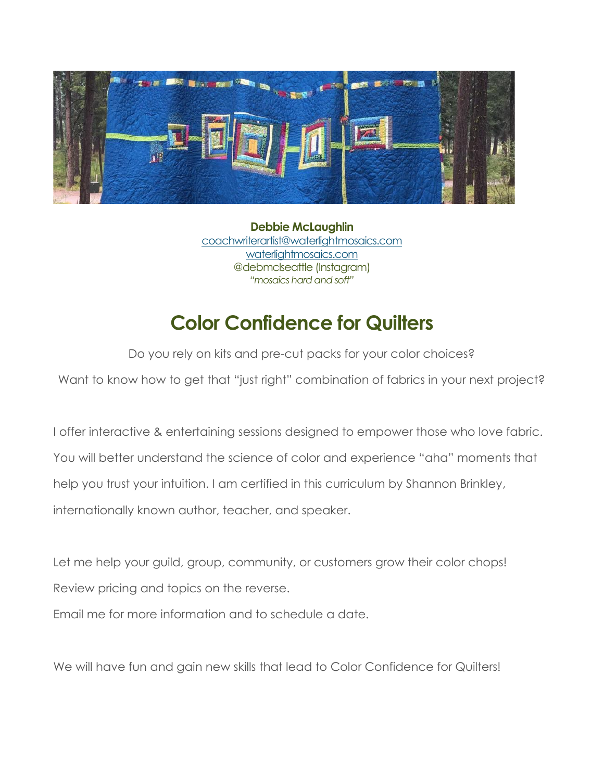

**Debbie McLaughlin** [coachwriterartist@waterlightmosaics.com](mailto:debmclseattle@gmail.com) [waterlightmosaics.com](https://waterlightmosaics.com/) @debmclseattle (Instagram) *"mosaics hard and soft"*

## **Color Confidence for Quilters**

Do you rely on kits and pre-cut packs for your color choices?

Want to know how to get that "just right" combination of fabrics in your next project?

I offer interactive & entertaining sessions designed to empower those who love fabric. You will better understand the science of color and experience "aha" moments that help you trust your intuition. I am certified in this curriculum by Shannon Brinkley, internationally known author, teacher, and speaker.

Let me help your guild, group, community, or customers grow their color chops! Review pricing and topics on the reverse.

Email me for more information and to schedule a date.

We will have fun and gain new skills that lead to Color Confidence for Quilters!